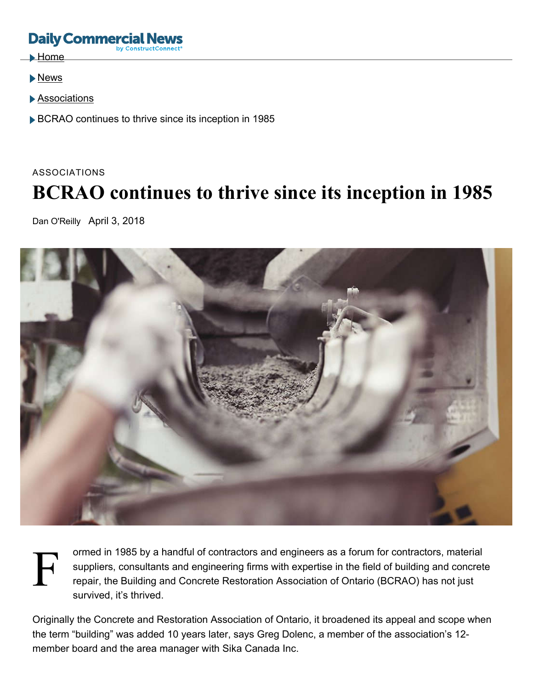# **Daily Commerci**

- $\blacktriangleright$  Home
- News
- Associations
- ▶ BCRAO continues to thrive since its inception in 1985

# ASSOCIATIONS **BCRAO continues to thrive since its inception in 1985**

Dan O'Reilly April 3, 2018



ormed in 1985 by a handful of contractors and engineers as a forum for contractors, material<br>suppliers, consultants and engineering firms with expertise in the field of building and concret<br>repair, the Building and Concret suppliers, consultants and engineering firms with expertise in the field of building and concrete repair, the Building and Concrete Restoration Association of Ontario (BCRAO) has not just survived, it's thrived.

Originally the Concrete and Restoration Association of Ontario, it broadened its appeal and scope when the term "building" was added 10 years later, says Greg Dolenc, a member of the association's 12 member board and the area manager with Sika Canada Inc.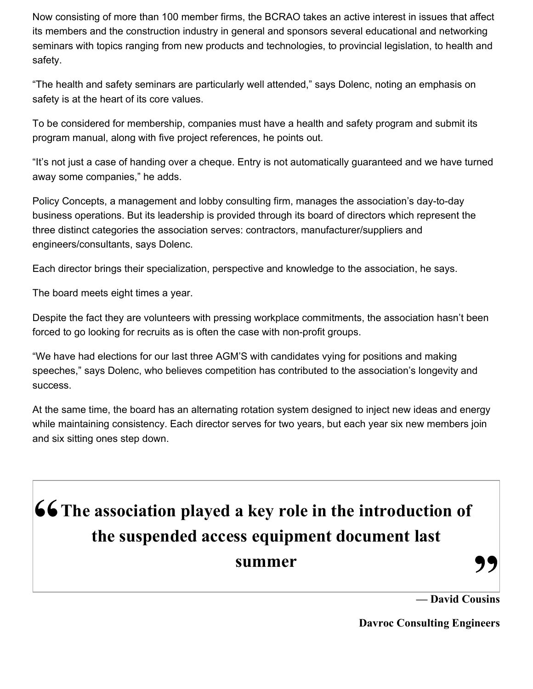Now consisting of more than 100 member firms, the BCRAO takes an active interest in issues that affect its members and the construction industry in general and sponsors several educational and networking seminars with topics ranging from new products and technologies, to provincial legislation, to health and safety.

"The health and safety seminars are particularly well attended," says Dolenc, noting an emphasis on safety is at the heart of its core values.

To be considered for membership, companies must have a health and safety program and submit its program manual, along with five project references, he points out.

"It's not just a case of handing over a cheque. Entry is not automatically guaranteed and we have turned away some companies," he adds.

Policy Concepts, a management and lobby consulting firm, manages the association's day-to-day business operations. But its leadership is provided through its board of directors which represent the three distinct categories the association serves: contractors, manufacturer/suppliers and engineers/consultants, says Dolenc.

Each director brings their specialization, perspective and knowledge to the association, he says.

The board meets eight times a year.

Despite the fact they are volunteers with pressing workplace commitments, the association hasn't been forced to go looking for recruits as is often the case with non-profit groups.

"We have had elections for our last three AGM'S with candidates vying for positions and making speeches," says Dolenc, who believes competition has contributed to the association's longevity and success.

At the same time, the board has an alternating rotation system designed to inject new ideas and energy while maintaining consistency. Each director serves for two years, but each year six new members join and six sitting ones step down.

# **" The association played a key role in the introduction of the suspended access equipment document last summer**

**— David Cousins**

**Davroc Consulting Engineers**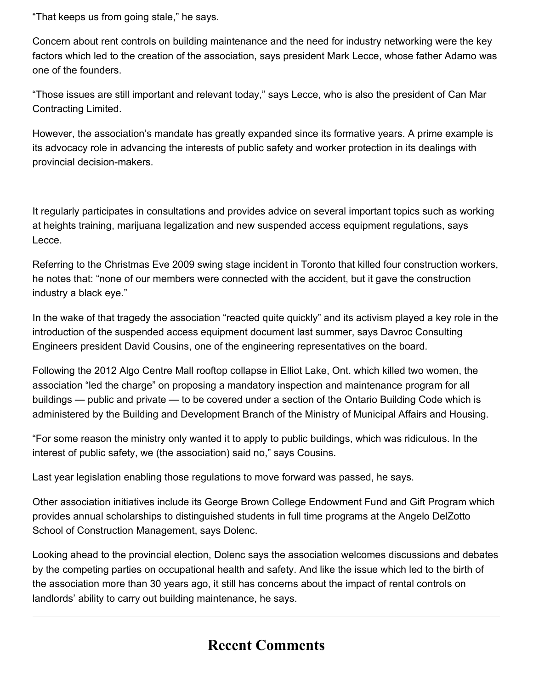"That keeps us from going stale," he says.

Concern about rent controls on building maintenance and the need for industry networking were the key factors which led to the creation of the association, says president Mark Lecce, whose father Adamo was one of the founders.

"Those issues are still important and relevant today," says Lecce, who is also the president of Can Mar Contracting Limited.

However, the association's mandate has greatly expanded since its formative years. A prime example is its advocacy role in advancing the interests of public safety and worker protection in its dealings with provincial decision-makers.

It regularly participates in consultations and provides advice on several important topics such as working at heights training, marijuana legalization and new suspended access equipment regulations, says Lecce.

Referring to the Christmas Eve 2009 swing stage incident in Toronto that killed four construction workers, he notes that: "none of our members were connected with the accident, but it gave the construction industry a black eye."

In the wake of that tragedy the association "reacted quite quickly" and its activism played a key role in the introduction of the suspended access equipment document last summer, says Davroc Consulting Engineers president David Cousins, one of the engineering representatives on the board.

Following the 2012 Algo Centre Mall rooftop collapse in Elliot Lake, Ont. which killed two women, the association "led the charge" on proposing a mandatory inspection and maintenance program for all buildings — public and private — to be covered under a section of the Ontario Building Code which is administered by the Building and Development Branch of the Ministry of Municipal Affairs and Housing.

"For some reason the ministry only wanted it to apply to public buildings, which was ridiculous. In the interest of public safety, we (the association) said no," says Cousins.

Last year legislation enabling those regulations to move forward was passed, he says.

Other association initiatives include its George Brown College Endowment Fund and Gift Program which provides annual scholarships to distinguished students in full time programs at the Angelo DelZotto School of Construction Management, says Dolenc.

Looking ahead to the provincial election, Dolenc says the association welcomes discussions and debates by the competing parties on occupational health and safety. And like the issue which led to the birth of the association more than 30 years ago, it still has concerns about the impact of rental controls on landlords' ability to carry out building maintenance, he says.

## **Recent Comments**